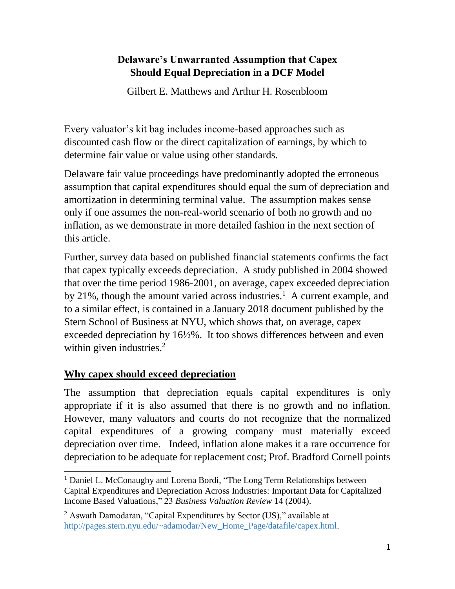## **Delaware's Unwarranted Assumption that Capex Should Equal Depreciation in a DCF Model**

Gilbert E. Matthews and Arthur H. Rosenbloom

Every valuator's kit bag includes income-based approaches such as discounted cash flow or the direct capitalization of earnings, by which to determine fair value or value using other standards.

Delaware fair value proceedings have predominantly adopted the erroneous assumption that capital expenditures should equal the sum of depreciation and amortization in determining terminal value. The assumption makes sense only if one assumes the non-real-world scenario of both no growth and no inflation, as we demonstrate in more detailed fashion in the next section of this article.

Further, survey data based on published financial statements confirms the fact that capex typically exceeds depreciation. A study published in 2004 showed that over the time period 1986-2001, on average, capex exceeded depreciation by 21%, though the amount varied across industries.<sup>1</sup> A current example, and to a similar effect, is contained in a January 2018 document published by the Stern School of Business at NYU, which shows that, on average, capex exceeded depreciation by 16½%. It too shows differences between and even within given industries.<sup>2</sup>

# **Why capex should exceed depreciation**

 $\overline{a}$ 

The assumption that depreciation equals capital expenditures is only appropriate if it is also assumed that there is no growth and no inflation. However, many valuators and courts do not recognize that the normalized capital expenditures of a growing company must materially exceed depreciation over time. Indeed, inflation alone makes it a rare occurrence for depreciation to be adequate for replacement cost; Prof. Bradford Cornell points

<sup>&</sup>lt;sup>1</sup> Daniel L. McConaughy and Lorena Bordi, "The Long Term Relationships between Capital Expenditures and Depreciation Across Industries: Important Data for Capitalized Income Based Valuations," 23 *Business Valuation Review* 14 (2004).

<sup>&</sup>lt;sup>2</sup> Aswath Damodaran, "Capital Expenditures by Sector (US)," available at http://pages.stern.nyu.edu/~adamodar/New\_Home\_Page/datafile/capex.html.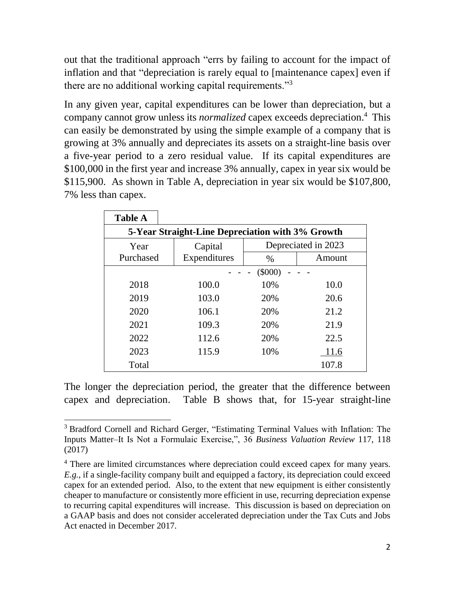out that the traditional approach "errs by failing to account for the impact of inflation and that "depreciation is rarely equal to [maintenance capex] even if there are no additional working capital requirements."<sup>3</sup>

In any given year, capital expenditures can be lower than depreciation, but a company cannot grow unless its *normalized* capex exceeds depreciation.<sup>4</sup> This can easily be demonstrated by using the simple example of a company that is growing at 3% annually and depreciates its assets on a straight-line basis over a five-year period to a zero residual value. If its capital expenditures are \$100,000 in the first year and increase 3% annually, capex in year six would be \$115,900. As shown in Table A, depreciation in year six would be \$107,800, 7% less than capex.

| <b>Table A</b>                                   |              |      |                     |  |  |  |  |
|--------------------------------------------------|--------------|------|---------------------|--|--|--|--|
| 5-Year Straight-Line Depreciation with 3% Growth |              |      |                     |  |  |  |  |
| Year                                             | Capital      |      | Depreciated in 2023 |  |  |  |  |
| Purchased                                        | Expenditures | $\%$ | Amount              |  |  |  |  |
|                                                  | $(\$000)$    |      |                     |  |  |  |  |
| 2018                                             | 100.0        | 10%  | 10.0                |  |  |  |  |
| 2019                                             | 103.0        | 20%  | 20.6<br>21.2        |  |  |  |  |
| 2020                                             | 106.1        | 20%  |                     |  |  |  |  |
| 2021                                             | 109.3        | 20%  | 21.9                |  |  |  |  |
| 2022                                             | 112.6        | 20%  | 22.5                |  |  |  |  |
| 2023                                             | 115.9        | 10%  | 11.6                |  |  |  |  |
| Total                                            |              |      | 107.8               |  |  |  |  |

The longer the depreciation period, the greater that the difference between capex and depreciation. Table B shows that, for 15-year straight-line

 $\overline{a}$ <sup>3</sup> Bradford Cornell and Richard Gerger, "Estimating Terminal Values with Inflation: The Inputs Matter–It Is Not a Formulaic Exercise,", 36 *Business Valuation Review* 117, 118 (2017)

<sup>&</sup>lt;sup>4</sup> There are limited circumstances where depreciation could exceed capex for many years. *E.g.*, if a single-facility company built and equipped a factory, its depreciation could exceed capex for an extended period. Also, to the extent that new equipment is either consistently cheaper to manufacture or consistently more efficient in use, recurring depreciation expense to recurring capital expenditures will increase. This discussion is based on depreciation on a GAAP basis and does not consider accelerated depreciation under the Tax Cuts and Jobs Act enacted in December 2017.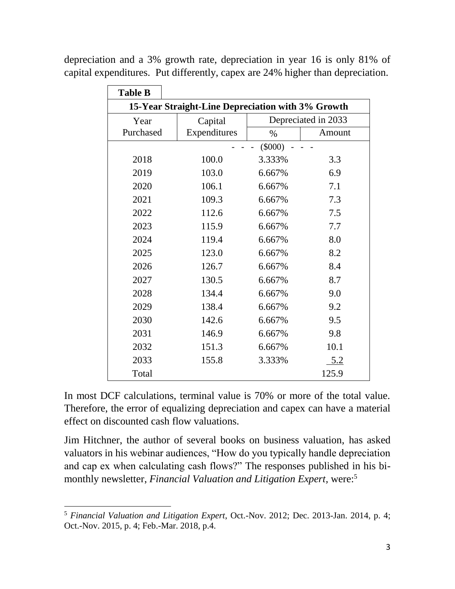| <b>Table B</b>                                    |              |                     |            |  |  |  |
|---------------------------------------------------|--------------|---------------------|------------|--|--|--|
| 15-Year Straight-Line Depreciation with 3% Growth |              |                     |            |  |  |  |
| Year                                              | Capital      | Depreciated in 2033 |            |  |  |  |
| Purchased                                         | Expenditures | $\%$                | Amount     |  |  |  |
|                                                   | $(\$000)$    |                     |            |  |  |  |
| 2018                                              | 100.0        | 3.333%              | 3.3        |  |  |  |
| 2019                                              | 103.0        | 6.667%              | 6.9        |  |  |  |
| 2020                                              | 106.1        | 6.667%              | 7.1        |  |  |  |
| 2021                                              | 109.3        | 6.667%              | 7.3        |  |  |  |
| 2022                                              | 112.6        | 6.667%              | 7.5        |  |  |  |
| 2023                                              | 115.9        | 6.667%              | 7.7        |  |  |  |
| 2024                                              | 119.4        | 6.667%              | 8.0        |  |  |  |
| 2025                                              | 123.0        | 6.667%              | 8.2        |  |  |  |
| 2026                                              | 126.7        | 6.667%              | 8.4        |  |  |  |
| 2027                                              | 130.5        | 6.667%              | 8.7        |  |  |  |
| 2028                                              | 134.4        | 6.667%              | 9.0        |  |  |  |
| 2029                                              | 138.4        | 6.667%              | 9.2        |  |  |  |
| 2030                                              | 142.6        | 6.667%              | 9.5        |  |  |  |
| 2031                                              | 146.9        | 6.667%              | 9.8        |  |  |  |
| 2032                                              | 151.3        | 6.667%              | 10.1       |  |  |  |
| 2033                                              | 155.8        | 3.333%              | <u>5.2</u> |  |  |  |
| Total                                             |              |                     | 125.9      |  |  |  |

depreciation and a 3% growth rate, depreciation in year 16 is only 81% of capital expenditures. Put differently, capex are 24% higher than depreciation.

In most DCF calculations, terminal value is 70% or more of the total value. Therefore, the error of equalizing depreciation and capex can have a material effect on discounted cash flow valuations.

Jim Hitchner, the author of several books on business valuation, has asked valuators in his webinar audiences, "How do you typically handle depreciation and cap ex when calculating cash flows?" The responses published in his bimonthly newsletter, *Financial Valuation and Litigation Expert,* were:<sup>5</sup>

 $\overline{a}$ 

<sup>5</sup> *Financial Valuation and Litigation Expert*, Oct.-Nov. 2012; Dec. 2013-Jan. 2014, p. 4; Oct.-Nov. 2015, p. 4; Feb.-Mar. 2018, p.4.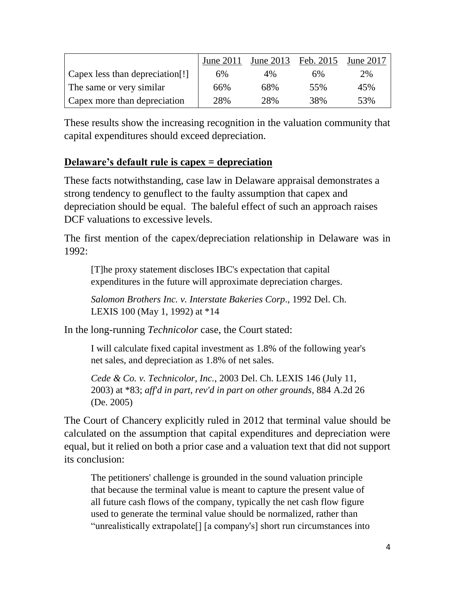|                                 | <b>June 2011</b> |     | June 2013 Feb. 2015 | <b>June 2017</b> |
|---------------------------------|------------------|-----|---------------------|------------------|
| Capex less than depreciation[!] | 6%               | 4%  | 6%                  | 2%               |
| The same or very similar        | 66%              | 68% | 55%                 | 45%              |
| Capex more than depreciation    | 28%              | 28% | 38%                 | 53%              |

These results show the increasing recognition in the valuation community that capital expenditures should exceed depreciation.

### **Delaware's default rule is capex = depreciation**

These facts notwithstanding, case law in Delaware appraisal demonstrates a strong tendency to genuflect to the faulty assumption that capex and depreciation should be equal. The baleful effect of such an approach raises DCF valuations to excessive levels.

The first mention of the capex/depreciation relationship in Delaware was in 1992:

[T]he proxy statement discloses IBC's expectation that capital expenditures in the future will approximate depreciation charges.

*Salomon Brothers Inc. v. Interstate Bakeries Corp*., 1992 Del. Ch. LEXIS 100 (May 1, 1992) at \*14

In the long-running *Technicolor* case, the Court stated:

I will calculate fixed capital investment as 1.8% of the following year's net sales, and depreciation as 1.8% of net sales.

*Cede & Co. v. Technicolor, Inc.*, 2003 Del. Ch. LEXIS 146 (July 11, 2003) at \*83; *aff'd in part, rev'd in part on other grounds,* 884 A.2d 26 (De. 2005)

The Court of Chancery explicitly ruled in 2012 that terminal value should be calculated on the assumption that capital expenditures and depreciation were equal, but it relied on both a prior case and a valuation text that did not support its conclusion:

The petitioners' challenge is grounded in the sound valuation principle that because the terminal value is meant to capture the present value of all future cash flows of the company, typically the net cash flow figure used to generate the terminal value should be normalized, rather than "unrealistically extrapolate[] [a company's] short run circumstances into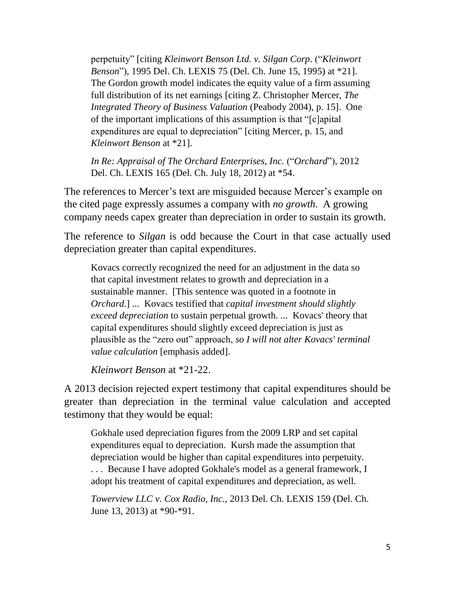perpetuity" [citing *[Kleinwort Benson Ltd. v. Silgan Corp](http://0-www.lexisnexis.com.opac.sfsu.edu/lnacui2api/mungo/lexseestat.do?bct=A&risb=21_T15367299394&homeCsi=5077&A=0.9140576852453804&urlEnc=ISO-8859-1&&citeString=1995%20Del.%20Ch.%20LEXIS%2075&countryCode=USA)*. ("*Kleinwort Benson*"), [1995 Del. Ch. LEXIS 75 \(Del. Ch. June 15, 1995\)](http://0-www.lexisnexis.com.opac.sfsu.edu/lnacui2api/mungo/lexseestat.do?bct=A&risb=21_T15367299394&homeCsi=5077&A=0.9140576852453804&urlEnc=ISO-8859-1&&citeString=1995%20Del.%20Ch.%20LEXIS%2075&countryCode=USA) at \*21]. The Gordon growth model indicates the equity value of a firm assuming full distribution of its net earnings [citing Z. Christopher Mercer, *The Integrated Theory of Business Valuation* (Peabody 2004), p. 15]. One of the important implications of this assumption is that "[c]apital expenditures are equal to depreciation" [citing Mercer, p. 15, and *Kleinwort Benson* at \*21].

*In Re: Appraisal of The Orchard Enterprises, Inc.* ("*Orchard*"), 2012 Del. Ch. LEXIS 165 (Del. Ch. July 18, 2012) at \*54.

The references to Mercer's text are misguided because Mercer's example on the cited page expressly assumes a company with *no growth*. A growing company needs capex greater than depreciation in order to sustain its growth.

The reference to *Silgan* is odd because the Court in that case actually used depreciation greater than capital expenditures.

Kovacs correctly recognized the need for an adjustment in the data so that capital investment relates to growth and depreciation in a sustainable manner. [This sentence was quoted in a footnote in *Orchard.*] ... Kovacs testified that *capital investment should slightly exceed depreciation* to sustain perpetual growth. ... Kovacs' theory that capital expenditures should slightly exceed depreciation is just as plausible as the "zero out" approach, *so I will not alter Kovacs' terminal value calculation* [emphasis added].

*Kleinwort Benson* at \*21-22.

A 2013 decision rejected expert testimony that capital expenditures should be greater than depreciation in the terminal value calculation and accepted testimony that they would be equal:

Gokhale used depreciation figures from the 2009 LRP and set capital expenditures equal to depreciation. Kursh made the assumption that depreciation would be higher than capital expenditures into perpetuity. . . . Because I have adopted Gokhale's model as a general framework, I adopt his treatment of capital expenditures and depreciation, as well.

*Towerview LLC v. Cox Radio, Inc.*, 2013 Del. Ch. LEXIS 159 (Del. Ch. June 13, 2013) at \*90-\*91.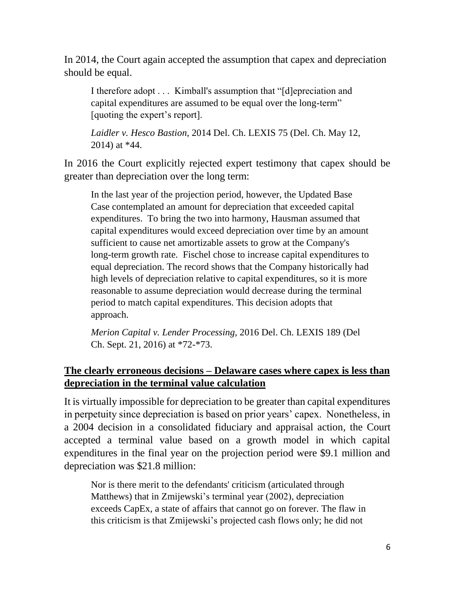In 2014, the Court again accepted the assumption that capex and depreciation should be equal.

I therefore adopt . . . Kimball's assumption that "[d]epreciation and capital expenditures are assumed to be equal over the long-term" [quoting the expert's report].

*Laidler v. Hesco Bastion*, 2014 Del. Ch. LEXIS 75 (Del. Ch. May 12, 2014) at \*44.

In 2016 the Court explicitly rejected expert testimony that capex should be greater than depreciation over the long term:

In the last year of the projection period, however, the Updated Base Case contemplated an amount for depreciation that exceeded capital expenditures. To bring the two into harmony, Hausman assumed that capital expenditures would exceed depreciation over time by an amount sufficient to cause net amortizable assets to grow at the Company's long-term growth rate. Fischel chose to increase capital expenditures to equal depreciation. The record shows that the Company historically had high levels of depreciation relative to capital expenditures, so it is more reasonable to assume depreciation would decrease during the terminal period to match capital expenditures. This decision adopts that approach.

*Merion Capital v. Lender Processing*, 2016 Del. Ch. LEXIS 189 (Del Ch. Sept. 21, 2016) at \*72-\*73.

## **The clearly erroneous decisions – Delaware cases where capex is less than depreciation in the terminal value calculation**

It is virtually impossible for depreciation to be greater than capital expenditures in perpetuity since depreciation is based on prior years' capex. Nonetheless, in a 2004 decision in a consolidated fiduciary and appraisal action, the Court accepted a terminal value based on a growth model in which capital expenditures in the final year on the projection period were \$9.1 million and depreciation was \$21.8 million:

Nor is there merit to the defendants' criticism (articulated through Matthews) that in Zmijewski's terminal year (2002), depreciation exceeds CapEx, a state of affairs that cannot go on forever. The flaw in this criticism is that Zmijewski's projected cash flows only; he did not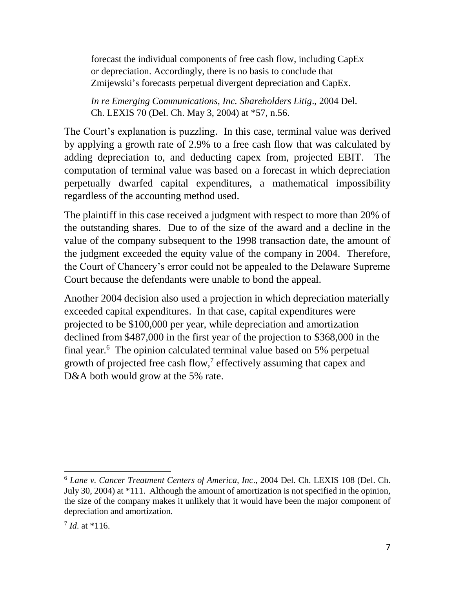forecast the individual components of free cash flow, including CapEx or depreciation. Accordingly, there is no basis to conclude that Zmijewski's forecasts perpetual divergent depreciation and CapEx.

*In re Emerging Communications, Inc. Shareholders Litig*., 2004 Del. Ch. LEXIS 70 (Del. Ch. May 3, 2004) at \*57, n.56.

The Court's explanation is puzzling. In this case, terminal value was derived by applying a growth rate of 2.9% to a free cash flow that was calculated by adding depreciation to, and deducting capex from, projected EBIT. The computation of terminal value was based on a forecast in which depreciation perpetually dwarfed capital expenditures, a mathematical impossibility regardless of the accounting method used.

The plaintiff in this case received a judgment with respect to more than 20% of the outstanding shares. Due to of the size of the award and a decline in the value of the company subsequent to the 1998 transaction date, the amount of the judgment exceeded the equity value of the company in 2004. Therefore, the Court of Chancery's error could not be appealed to the Delaware Supreme Court because the defendants were unable to bond the appeal.

Another 2004 decision also used a projection in which depreciation materially exceeded capital expenditures. In that case, capital expenditures were projected to be \$100,000 per year, while depreciation and amortization declined from \$487,000 in the first year of the projection to \$368,000 in the final year.<sup>6</sup> The opinion calculated terminal value based on 5% perpetual growth of projected free cash flow,<sup>7</sup> effectively assuming that capex and D&A both would grow at the 5% rate.

 $\overline{a}$ 

<sup>6</sup> *Lane v. Cancer Treatment Centers of America, Inc*., 2004 Del. Ch. LEXIS 108 (Del. Ch. July 30, 2004) at \*111. Although the amount of amortization is not specified in the opinion, the size of the company makes it unlikely that it would have been the major component of depreciation and amortization.

<sup>7</sup> *Id*. at \*116.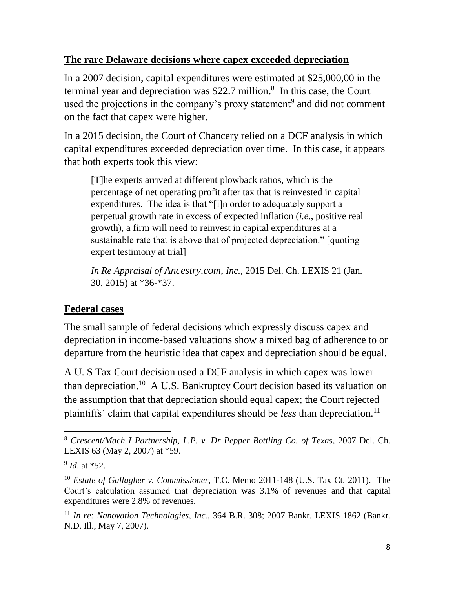### **The rare Delaware decisions where capex exceeded depreciation**

In a 2007 decision, capital expenditures were estimated at \$25,000,00 in the terminal year and depreciation was \$22.7 million. 8 In this case, the Court used the projections in the company's proxy statement<sup>9</sup> and did not comment on the fact that capex were higher.

In a 2015 decision, the Court of Chancery relied on a DCF analysis in which capital expenditures exceeded depreciation over time. In this case, it appears that both experts took this view:

[T]he experts arrived at different plowback ratios, which is the percentage of net operating profit after tax that is reinvested in capital expenditures. The idea is that "[i]n order to adequately support a perpetual growth rate in excess of expected inflation (*i.e*., positive real growth), a firm will need to reinvest in capital expenditures at a sustainable rate that is above that of projected depreciation." [quoting expert testimony at trial]

*In Re Appraisal of Ancestry.com, Inc.*, 2015 Del. Ch. LEXIS 21 (Jan. 30, 2015) at \*36-\*37.

#### **Federal cases**

The small sample of federal decisions which expressly discuss capex and depreciation in income-based valuations show a mixed bag of adherence to or departure from the heuristic idea that capex and depreciation should be equal.

A U. S Tax Court decision used a DCF analysis in which capex was lower than depreciation.<sup>10</sup> A U.S. Bankruptcy Court decision based its valuation on the assumption that that depreciation should equal capex; the Court rejected plaintiffs' claim that capital expenditures should be *less* than depreciation.<sup>11</sup>

 $\overline{a}$ <sup>8</sup> *Crescent/Mach I Partnership, L.P. v. Dr Pepper Bottling Co. of Texas*, 2007 Del. Ch. LEXIS 63 (May 2, 2007) at \*59.

<sup>9</sup> *Id*. at \*52.

<sup>10</sup> *Estate of Gallagher v. Commissioner*, T.C. Memo 2011-148 (U.S. Tax Ct. 2011). The Court's calculation assumed that depreciation was 3.1% of revenues and that capital expenditures were 2.8% of revenues.

<sup>11</sup> *In re: Nanovation Technologies, Inc.*, 364 B.R. 308; 2007 Bankr. LEXIS 1862 (Bankr. N.D. Ill., May 7, 2007).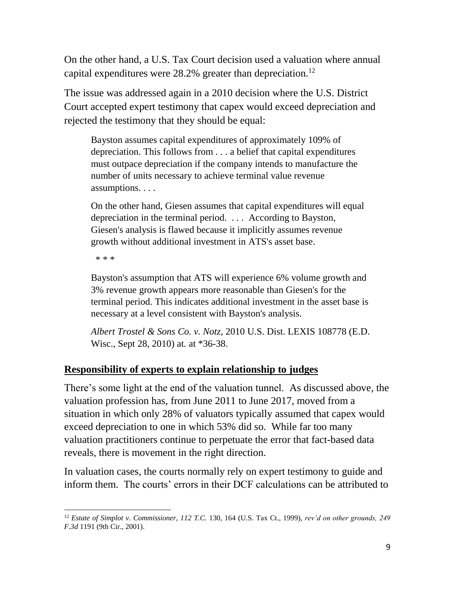On the other hand, a U.S. Tax Court decision used a valuation where annual capital expenditures were 28.2% greater than depreciation.<sup>12</sup>

The issue was addressed again in a 2010 decision where the U.S. District Court accepted expert testimony that capex would exceed depreciation and rejected the testimony that they should be equal:

Bayston assumes capital expenditures of approximately 109% of depreciation. This follows from . . . a belief that capital expenditures must outpace depreciation if the company intends to manufacture the number of units necessary to achieve terminal value revenue assumptions. . . .

On the other hand, Giesen assumes that capital expenditures will equal depreciation in the terminal period. . . . According to Bayston, Giesen's analysis is flawed because it implicitly assumes revenue growth without additional investment in ATS's asset base.

\* \* \*

Bayston's assumption that ATS will experience 6% volume growth and 3% revenue growth appears more reasonable than Giesen's for the terminal period. This indicates additional investment in the asset base is necessary at a level consistent with Bayston's analysis.

*Albert Trostel & Sons Co. v. Notz*, 2010 U.S. Dist. LEXIS 108778 (E.D. Wisc., Sept 28, 2010) at*.* at \*36-38.

## **Responsibility of experts to explain relationship to judges**

There's some light at the end of the valuation tunnel. As discussed above, the valuation profession has, from June 2011 to June 2017, moved from a situation in which only 28% of valuators typically assumed that capex would exceed depreciation to one in which 53% did so. While far too many valuation practitioners continue to perpetuate the error that fact-based data reveals, there is movement in the right direction.

In valuation cases, the courts normally rely on expert testimony to guide and inform them. The courts' errors in their DCF calculations can be attributed to

 $\overline{a}$ <sup>12</sup> *Estate of Simplot v. Commissioner, 112 T.C.* 130, 164 (U.S. Tax Ct., 1999), *rev'd on other grounds, 249 F.3d* 1191 (9th Cir., 2001).